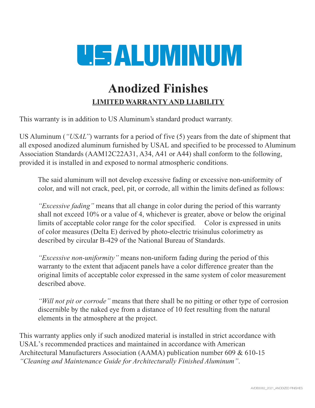## **USALUMINUM**

## **Anodized Finishes LIMITED WARRANTY AND LIABILITY**

This warranty is in addition to US Aluminum's standard product warranty.

US Aluminum (*"USAL"*) warrants for a period of five (5) years from the date of shipment that all exposed anodized aluminum furnished by USAL and specified to be processed to Aluminum Association Standards (AAM12C22A31, A34, A41 or A44) shall conform to the following, provided it is installed in and exposed to normal atmospheric conditions.

The said aluminum will not develop excessive fading or excessive non-uniformity of color, and will not crack, peel, pit, or corrode, all within the limits defined as follows:

*"Excessive fading"* means that all change in color during the period of this warranty shall not exceed 10% or a value of 4, whichever is greater, above or below the original limits of acceptable color range for the color specified. Color is expressed in units of color measures (Delta E) derived by photo-electric trisinulus colorimetry as described by circular B-429 of the National Bureau of Standards.

*"Excessive non-uniformity"* means non-uniform fading during the period of this warranty to the extent that adjacent panels have a color difference greater than the original limits of acceptable color expressed in the same system of color measurement described above.

*"Will not pit or corrode"* means that there shall be no pitting or other type of corrosion discernible by the naked eye from a distance of 10 feet resulting from the natural elements in the atmosphere at the project.

This warranty applies only if such anodized material is installed in strict accordance with USAL's recommended practices and maintained in accordance with American Architectural Manufacturers Association (AAMA) publication number 609 & 610-15 *"Cleaning and Maintenance Guide for Architecturally Finished Aluminum"*.